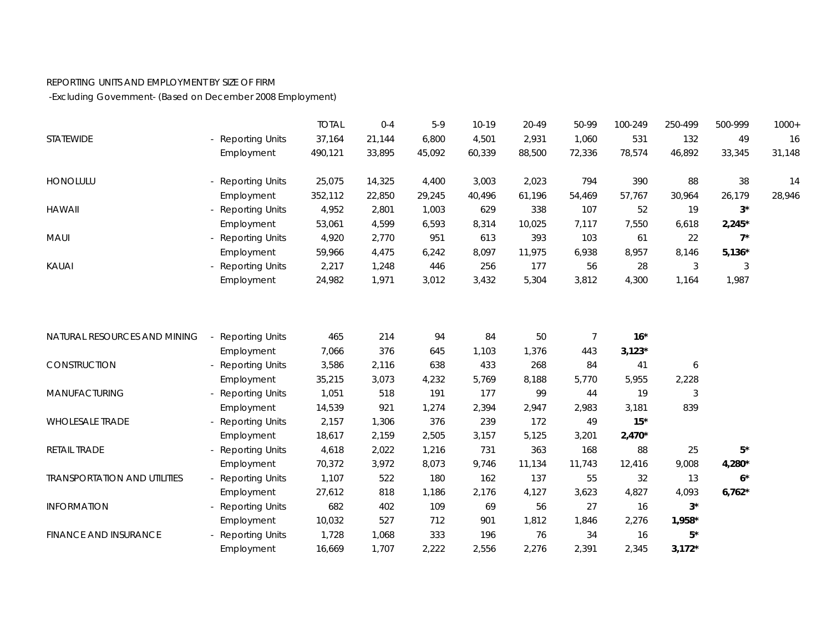## REPORTING UNITS AND EMPLOYMENT BY SIZE OF FIRM

-Excluding Government- (Based on December 2008 Employment)

|                                     |                        | <b>TOTAL</b> | $0 - 4$ | $5-9$  | $10-19$ | 20-49  | 50-99          | 100-249  | 250-499  | 500-999     | $1000+$ |
|-------------------------------------|------------------------|--------------|---------|--------|---------|--------|----------------|----------|----------|-------------|---------|
| STATEWIDE                           | - Reporting Units      | 37,164       | 21,144  | 6,800  | 4,501   | 2,931  | 1,060          | 531      | 132      | 49          | 16      |
|                                     | Employment             | 490,121      | 33,895  | 45,092 | 60,339  | 88,500 | 72,336         | 78,574   | 46,892   | 33,345      | 31,148  |
| <b>HONOLULU</b>                     | <b>Reporting Units</b> | 25,075       | 14,325  | 4,400  | 3,003   | 2,023  | 794            | 390      | 88       | 38          | 14      |
|                                     | Employment             | 352,112      | 22,850  | 29,245 | 40,496  | 61,196 | 54,469         | 57,767   | 30,964   | 26,179      | 28,946  |
| <b>HAWAII</b>                       | - Reporting Units      | 4,952        | 2,801   | 1,003  | 629     | 338    | 107            | 52       | 19       | $3^*$       |         |
|                                     | Employment             | 53,061       | 4,599   | 6,593  | 8,314   | 10,025 | 7,117          | 7,550    | 6,618    | $2,245*$    |         |
| MAUI                                | <b>Reporting Units</b> | 4,920        | 2,770   | 951    | 613     | 393    | 103            | 61       | 22       | $7^*$       |         |
|                                     | Employment             | 59,966       | 4,475   | 6,242  | 8,097   | 11,975 | 6,938          | 8,957    | 8,146    | $5,136*$    |         |
| <b>KAUAI</b>                        | <b>Reporting Units</b> | 2,217        | 1,248   | 446    | 256     | 177    | 56             | 28       | 3        | 3           |         |
|                                     | Employment             | 24,982       | 1,971   | 3,012  | 3,432   | 5,304  | 3,812          | 4,300    | 1,164    | 1,987       |         |
|                                     |                        |              |         |        |         |        |                |          |          |             |         |
| NATURAL RESOURCES AND MINING        | <b>Reporting Units</b> | 465          | 214     | 94     | 84      | 50     | $\overline{7}$ | $16*$    |          |             |         |
|                                     | Employment             | 7,066        | 376     | 645    | 1,103   | 1,376  | 443            | $3,123*$ |          |             |         |
| CONSTRUCTION                        | <b>Reporting Units</b> | 3,586        | 2,116   | 638    | 433     | 268    | 84             | 41       | 6        |             |         |
|                                     | Employment             | 35,215       | 3,073   | 4,232  | 5,769   | 8,188  | 5,770          | 5,955    | 2,228    |             |         |
| MANUFACTURING                       | <b>Reporting Units</b> | 1,051        | 518     | 191    | 177     | 99     | 44             | 19       | 3        |             |         |
|                                     | Employment             | 14,539       | 921     | 1,274  | 2,394   | 2,947  | 2,983          | 3,181    | 839      |             |         |
| <b>WHOLESALE TRADE</b>              | <b>Reporting Units</b> | 2,157        | 1,306   | 376    | 239     | 172    | 49             | $15*$    |          |             |         |
|                                     | Employment             | 18,617       | 2,159   | 2,505  | 3,157   | 5,125  | 3,201          | $2,470*$ |          |             |         |
| RETAIL TRADE                        | <b>Reporting Units</b> | 4,618        | 2,022   | 1,216  | 731     | 363    | 168            | 88       | 25       | $5^{\star}$ |         |
|                                     | Employment             | 70,372       | 3,972   | 8,073  | 9,746   | 11,134 | 11,743         | 12,416   | 9,008    | $4,280*$    |         |
| <b>TRANSPORTATION AND UTILITIES</b> | - Reporting Units      | 1,107        | 522     | 180    | 162     | 137    | 55             | 32       | 13       | $6*$        |         |
|                                     | Employment             | 27,612       | 818     | 1,186  | 2,176   | 4,127  | 3,623          | 4,827    | 4,093    | $6,762*$    |         |
| <b>INFORMATION</b>                  | <b>Reporting Units</b> | 682          | 402     | 109    | 69      | 56     | 27             | 16       | $3^*$    |             |         |
|                                     | Employment             | 10,032       | 527     | 712    | 901     | 1,812  | 1,846          | 2,276    | 1,958*   |             |         |
| <b>FINANCE AND INSURANCE</b>        | <b>Reporting Units</b> | 1,728        | 1,068   | 333    | 196     | 76     | 34             | 16       | $5*$     |             |         |
|                                     | Employment             | 16,669       | 1,707   | 2,222  | 2,556   | 2,276  | 2,391          | 2,345    | $3,172*$ |             |         |